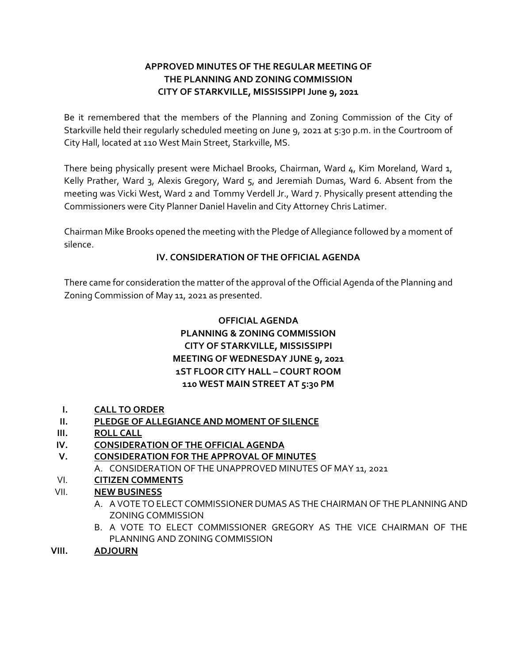## **APPROVED MINUTES OF THE REGULAR MEETING OF THE PLANNING AND ZONING COMMISSION CITY OF STARKVILLE, MISSISSIPPI June 9, 2021**

Be it remembered that the members of the Planning and Zoning Commission of the City of Starkville held their regularly scheduled meeting on June 9, 2021 at 5:30 p.m. in the Courtroom of City Hall, located at 110 West Main Street, Starkville, MS.

There being physically present were Michael Brooks, Chairman, Ward 4, Kim Moreland, Ward 1, Kelly Prather, Ward 3, Alexis Gregory, Ward 5, and Jeremiah Dumas, Ward 6. Absent from the meeting was Vicki West, Ward 2 and Tommy Verdell Jr., Ward 7. Physically present attending the Commissioners were City Planner Daniel Havelin and City Attorney Chris Latimer.

Chairman Mike Brooks opened the meeting with the Pledge of Allegiance followed by a moment of silence.

### **IV. CONSIDERATION OF THE OFFICIAL AGENDA**

There came for consideration the matter of the approval of the Official Agenda of the Planning and Zoning Commission of May 11, 2021 as presented.

# **OFFICIAL AGENDA PLANNING & ZONING COMMISSION CITY OF STARKVILLE, MISSISSIPPI MEETING OF WEDNESDAY JUNE 9, 2021 1ST FLOOR CITY HALL – COURT ROOM 110 WEST MAIN STREET AT 5:30 PM**

- **I. CALL TO ORDER**
- **II. PLEDGE OF ALLEGIANCE AND MOMENT OF SILENCE**
- **III. ROLL CALL**
- **IV. CONSIDERATION OF THE OFFICIAL AGENDA**
- **V. CONSIDERATION FOR THE APPROVAL OF MINUTES**
- A. CONSIDERATION OF THE UNAPPROVED MINUTES OF MAY 11, 2021
- VI. **CITIZEN COMMENTS**

## VII. **NEW BUSINESS**

- A. A VOTE TO ELECT COMMISSIONER DUMAS AS THE CHAIRMAN OF THE PLANNING AND ZONING COMMISSION
- B. A VOTE TO ELECT COMMISSIONER GREGORY AS THE VICE CHAIRMAN OF THE PLANNING AND ZONING COMMISSION
- **VIII. ADJOURN**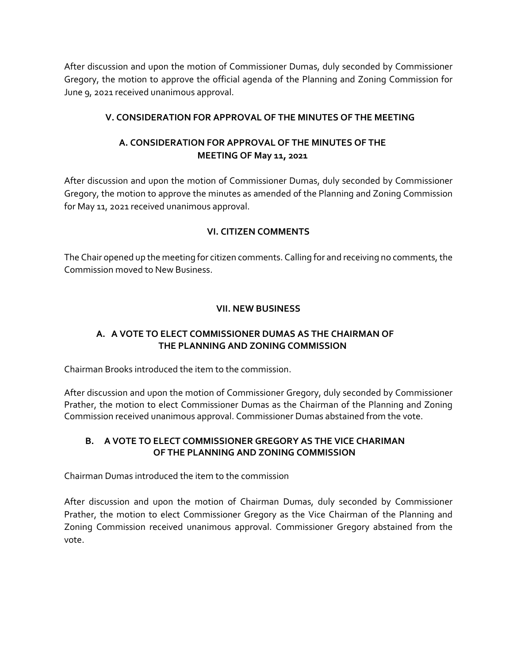After discussion and upon the motion of Commissioner Dumas, duly seconded by Commissioner Gregory, the motion to approve the official agenda of the Planning and Zoning Commission for June 9, 2021 received unanimous approval.

### **V. CONSIDERATION FOR APPROVAL OF THE MINUTES OF THE MEETING**

## **A. CONSIDERATION FOR APPROVAL OF THE MINUTES OF THE MEETING OF May 11, 2021**

After discussion and upon the motion of Commissioner Dumas, duly seconded by Commissioner Gregory, the motion to approve the minutes as amended of the Planning and Zoning Commission for May 11, 2021 received unanimous approval.

### **VI. CITIZEN COMMENTS**

The Chair opened up the meeting for citizen comments. Calling for and receiving no comments, the Commission moved to New Business.

### **VII. NEW BUSINESS**

### **A. A VOTE TO ELECT COMMISSIONER DUMAS AS THE CHAIRMAN OF THE PLANNING AND ZONING COMMISSION**

Chairman Brooks introduced the item to the commission.

After discussion and upon the motion of Commissioner Gregory, duly seconded by Commissioner Prather, the motion to elect Commissioner Dumas as the Chairman of the Planning and Zoning Commission received unanimous approval. Commissioner Dumas abstained from the vote.

### **B. A VOTE TO ELECT COMMISSIONER GREGORY AS THE VICE CHARIMAN OF THE PLANNING AND ZONING COMMISSION**

Chairman Dumas introduced the item to the commission

After discussion and upon the motion of Chairman Dumas, duly seconded by Commissioner Prather, the motion to elect Commissioner Gregory as the Vice Chairman of the Planning and Zoning Commission received unanimous approval. Commissioner Gregory abstained from the vote.